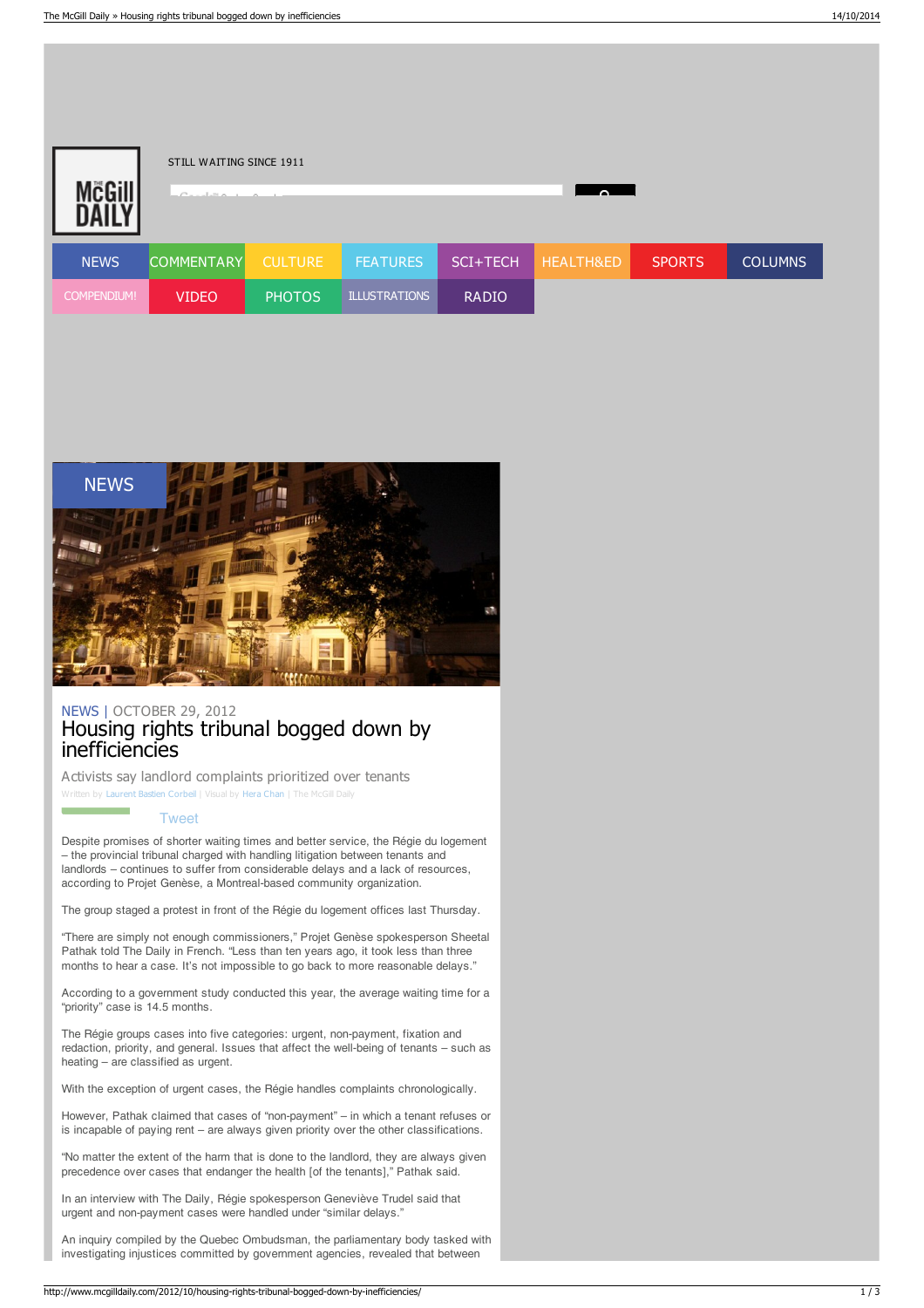|             | STILL WAITING SINCE 1911<br>$\sim$<br>Consider a consideration of the |                |                      |              |           |               |                |  |
|-------------|-----------------------------------------------------------------------|----------------|----------------------|--------------|-----------|---------------|----------------|--|
| <b>NEWS</b> | <b>COMMENTARY</b>                                                     | <b>CULTURE</b> | <b>FEATURES</b>      | SCI+TECH     | HEALTH&ED | <b>SPORTS</b> | <b>COLUMNS</b> |  |
| COMPENDIUM! | <b>VIDEO</b>                                                          | <b>PHOTOS</b>  | <b>ILLUSTRATIONS</b> | <b>RADIO</b> |           |               |                |  |



## [NEWS](http://www.mcgilldaily.com/category/news/) | OCTOBER 29, 2012 Housing rights tribunal bogged down by inefficiencies

Activists say landlord complaints prioritized over tenants Written by [Laurent](http://www.mcgilldaily.com/author/laurentbastiencorbeil/) Bastien Corbeil | Visual by Hera [Chan](http://www.mcgilldaily.com/author/herachan/?media=1) | The McGill Daily

## [Tweet](https://twitter.com/share)

**Contract Contract** 

Despite promises of shorter waiting times and better service, the Régie du logement – the provincial tribunal charged with handling litigation between tenants and landlords – continues to suffer from considerable delays and a lack of resources, according to Projet Genèse, a Montreal-based community organization.

The group staged a protest in front of the Régie du logement offices last Thursday.

"There are simply not enough commissioners," Projet Genèse spokesperson Sheetal Pathak told The Daily in French. "Less than ten years ago, it took less than three months to hear a case. It's not impossible to go back to more reasonable delays.'

According to a government study conducted this year, the average waiting time for a "priority" case is 14.5 months.

The Régie groups cases into five categories: urgent, non-payment, fixation and redaction, priority, and general. Issues that affect the well-being of tenants – such as heating – are classified as urgent.

With the exception of urgent cases, the Régie handles complaints chronologically.

However, Pathak claimed that cases of "non-payment" – in which a tenant refuses or is incapable of paying rent – are always given priority over the other classifications.

"No matter the extent of the harm that is done to the landlord, they are always given precedence over cases that endanger the health [of the tenants]," Pathak said.

In an interview with The Daily, Régie spokesperson Geneviève Trudel said that urgent and non-payment cases were handled under "similar delays."

An inquiry compiled by the Quebec Ombudsman, the parliamentary body tasked with investigating injustices committed by government agencies, revealed that between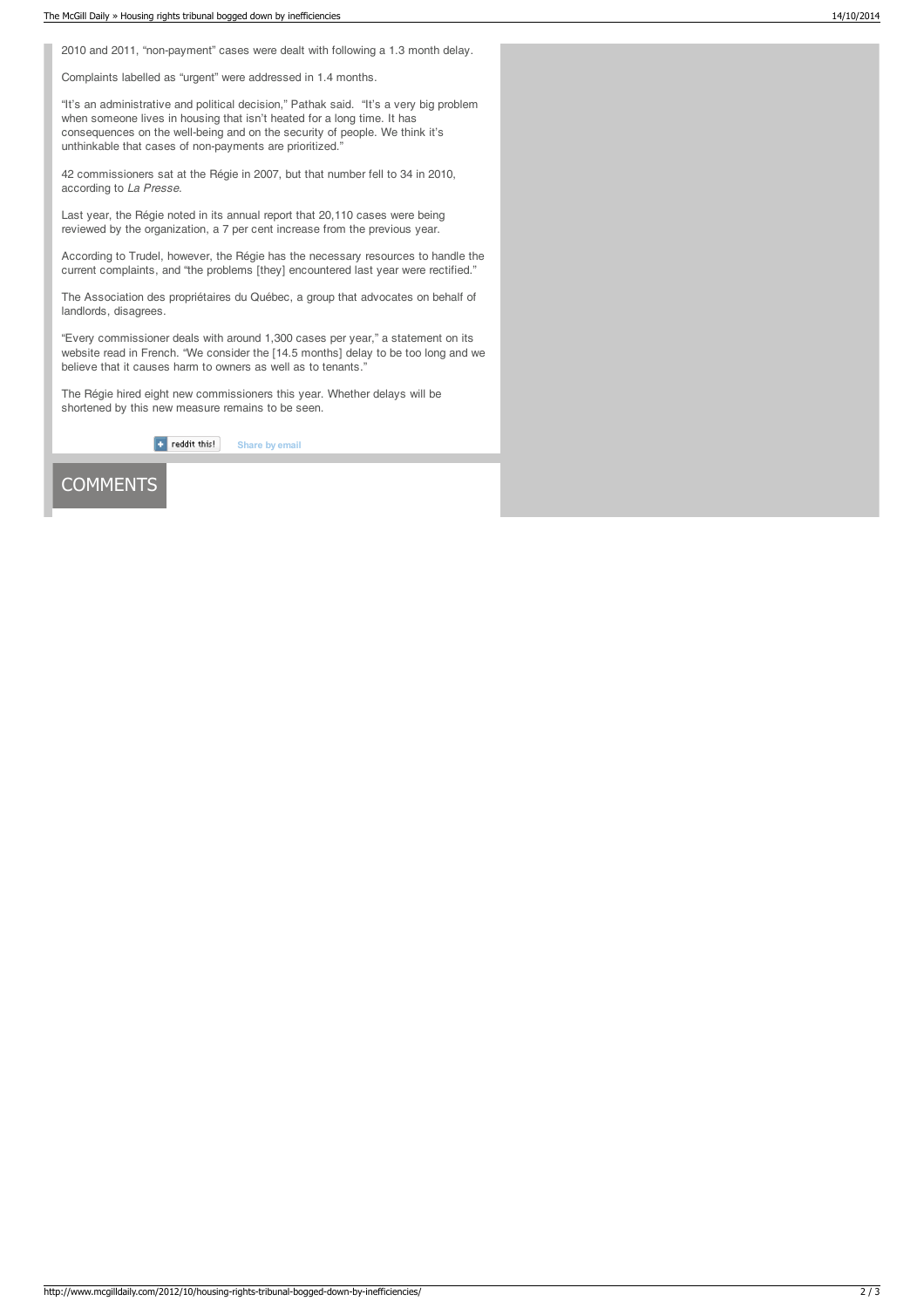Complaints labelled as "urgent" were addressed in 1.4 months.

"It's an administrative and political decision," Pathak said. "It's a very big problem when someone lives in housing that isn't heated for a long time. It has consequences on the well-being and on the security of people. We think it's unthinkable that cases of non-payments are prioritized."

42 commissioners sat at the Régie in 2007, but that number fell to 34 in 2010, according to La Presse.

Last year, the Régie noted in its annual report that 20,110 cases were being reviewed by the organization, a 7 per cent increase from the previous year.

According to Trudel, however, the Régie has the necessary resources to handle the current complaints, and "the problems [they] encountered last year were rectified."

The Association des propriétaires du Québec, a group that advocates on behalf of landlords, disagrees.

"Every commissioner deals with around 1,300 cases per year," a statement on its website read in French. "We consider the [14.5 months] delay to be too long and we believe that it causes harm to owners as well as to tenants.'

The Régie hired eight new commissioners this year. Whether delays will be shortened by this new measure remains to be seen.

> $\left| \begin{array}{c} \text{+} \\ \text{+} \end{array} \right|$  reddit this! **[Share](mailto:?subject=Housing rights tribunal bogged down by inefficiencies&body=Activists say landlord complaints prioritized over tenants%0D%0A%0D%0Ahttp://www.mcgilldaily.com/2012/10/housing-rights-tribunal-bogged-down-by-inefficiencies/) by email**

## **COMMENTS**